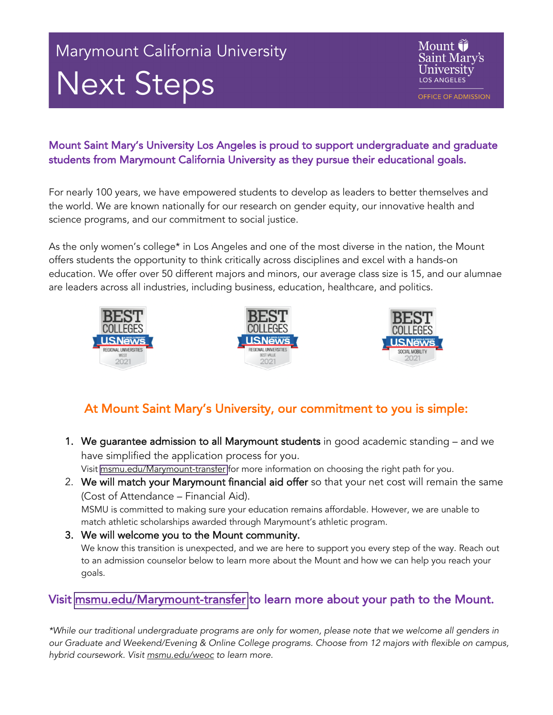# Marymount California University Next Steps

Mount **i** Saint Mary's University **LOS ANGELES** 

**OFFICE OF ADMISSION** 

#### Mount Saint Mary's University Los Angeles is proud to support undergraduate and graduate students from Marymount California University as they pursue their educational goals.

For nearly 100 years, we have empowered students to develop as leaders to better themselves and the world. We are known nationally for our research on gender equity, our innovative health and science programs, and our commitment to social justice.

As the only women's college\* in Los Angeles and one of the most diverse in the nation, the Mount offers students the opportunity to think critically across disciplines and excel with a hands-on education. We offer over 50 different majors and minors, our average class size is 15, and our alumnae are leaders across all industries, including business, education, healthcare, and politics.



### At Mount Saint Mary's University, our commitment to you is simple:

- 1. We guarantee admission to all Marymount students in good academic standing and we have simplified the application process for you. Visit [msmu.edu/Marymount-transfer](https://www.msmu.edu/marymount-transfer/) for more information on choosing the right path for you.
- 2. We will match your Marymount financial aid offer so that your net cost will remain the same (Cost of Attendance – Financial Aid). MSMU is committed to making sure your education remains affordable. However, we are unable to match athletic scholarships awarded through Marymount's athletic program.
- 3. We will welcome you to the Mount community. We know this transition is unexpected, and we are here to support you every step of the way. Reach out to an admission counselor below to learn more about the Mount and how we can help you reach your goals.

### Visit [msmu.edu/Marymount-transfer](https://www.msmu.edu/marymount-transfer/) to learn more about your path to the Mount.

*\*While our traditional undergraduate programs are only for women, please note that we welcome all genders i*n *our* Graduate and *Weekend/Evening & Online College programs. Choose from 12 majors with flexible on campus, online, hybrid coursework. Visit and msmu.edu/weoc to learn more.*